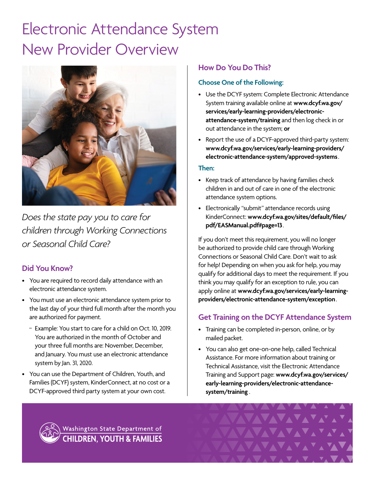# Electronic Attendance System New Provider Overview



*Does the state pay you to care for children through Working Connections or Seasonal Child Care?*

## **Did You Know?**

- You are required to record daily attendance with an electronic attendance system.
- You must use an electronic attendance system prior to the last day of your third full month after the month you are authorized for payment.
	- Example: You start to care for a child on Oct. 10, 2019. You are authorized in the month of October and your three full months are: November, December, and January. You must use an electronic attendance system by Jan. 31, 2020.
- You can use the Department of Children, Youth, and Families (DCYF) system, KinderConnect, at no cost or a DCYF-approved third party system at your own cost.

## **How Do You Do This?**

### **Choose One of the Following:**

- Use the DCYF system: Complete Electronic Attendance System training available online at **[www.dcyf.wa.gov/](http://www.dcyf.wa.gov/services/early-learning-providers/electronic-attendance-system/training) [services/early-learning-providers/electronic](http://www.dcyf.wa.gov/services/early-learning-providers/electronic-attendance-system/training)[attendance-system/training](http://www.dcyf.wa.gov/services/early-learning-providers/electronic-attendance-system/training)** and then log check in or out attendance in the system; **or**
- Report the use of a DCYF-approved third-party system: **[www.dcyf.wa.gov/services/early-learning-providers/](http://www.dcyf.wa.gov/services/early-learning-providers/electronic-attendance-system/approved-systems) [electronic-attendance-system/approved-systems](http://www.dcyf.wa.gov/services/early-learning-providers/electronic-attendance-system/approved-systems)**.

#### **Then:**

- Keep track of attendance by having families check children in and out of care in one of the electronic attendance system options.
- Electronically "submit" attendance records using KinderConnect: **[www.dcyf.wa.gov/sites/default/files/](http://www.dcyf.wa.gov/sites/default/files/pdf/EASManual.pdf#page=13) [pdf/EASManual.pdf#page=13](http://www.dcyf.wa.gov/sites/default/files/pdf/EASManual.pdf#page=13)**.

If you don't meet this requirement, you will no longer be authorized to provide child care through Working Connections or Seasonal Child Care. Don't wait to ask for help! Depending on when you ask for help, you may qualify for additional days to meet the requirement. If you think you may qualify for an exception to rule, you can apply online at **[www.dcyf.wa.gov/services/early-learning](http://www.dcyf.wa.gov/services/early-learning-providers/electronic-attendance-system/exception)[providers/electronic-attendance-system/exception](http://www.dcyf.wa.gov/services/early-learning-providers/electronic-attendance-system/exception)**.

## **Get Training on the DCYF Attendance System**

- Training can be completed in-person, online, or by mailed packet.
- You can also get one-on-one help, called Technical Assistance. For more information about training or Technical Assistance, visit the Electronic Attendance Training and Support page: **[www.dcyf.wa.gov/services/](http://www.dcyf.wa.gov/services/early-learning-providers/electronic-attendance-system/training) [early-learning-providers/electronic-attendance](http://www.dcyf.wa.gov/services/early-learning-providers/electronic-attendance-system/training)[system/training](http://www.dcyf.wa.gov/services/early-learning-providers/electronic-attendance-system/training)** .



Washington State Department of **CHILDREN, YOUTH & FAMILIES**  **AVAVAVAVA**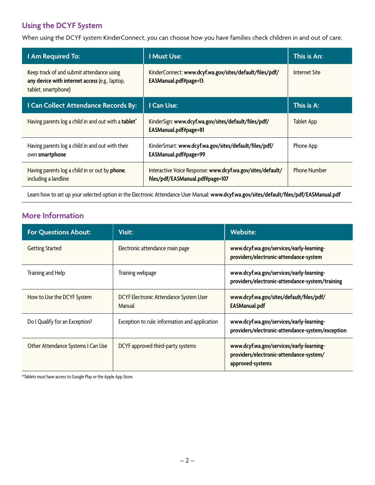# **Using the DCYF System**

When using the DCYF system KinderConnect, you can choose how you have families check children in and out of care.

| I Am Required To:                                                                                                  | <b>I Must Use:</b>                                                                             | This is An:         |
|--------------------------------------------------------------------------------------------------------------------|------------------------------------------------------------------------------------------------|---------------------|
| Keep track of and submit attendance using<br>any device with internet access (e.g., laptop,<br>tablet, smartphone) | KinderConnect: www.dcyf.wa.gov/sites/default/files/pdf/<br>EASManual.pdf#page=13               | Internet Site       |
| I Can Collect Attendance Records By:                                                                               | I Can Use:                                                                                     | This is A:          |
| Having parents log a child in and out with a tablet*                                                               | KinderSign: www.dcyf.wa.gov/sites/default/files/pdf/<br>EASManual.pdf#page=81                  | <b>Tablet App</b>   |
| Having parents log a child in and out with their<br>own smartphone                                                 | KinderSmart: www.dcyf.wa.gov/sites/default/files/pdf/<br>EASManual.pdf#page=99                 | Phone App           |
| Having parents log a child in or out by <b>phone</b> ,<br>including a landline                                     | Interactive Voice Response: www.dcyf.wa.gov/sites/default/<br>files/pdf/EASManual.pdf#page=107 | <b>Phone Number</b> |

Learn how to set up your selected option in the Electronic Attendance User Manual: **[www.dcyf.wa.gov/sites/default/files/pdf/EASManual.pdf](http://www.dcyf.wa.gov/sites/default/files/pdf/EASManual.pdf)**

## **More Information**

| <b>For Questions About:</b>        | Visit:                                           | <b>Website:</b>                                                                                         |
|------------------------------------|--------------------------------------------------|---------------------------------------------------------------------------------------------------------|
| <b>Getting Started</b>             | Electronic attendance main page                  | www.dcyf.wa.gov/services/early-learning-<br>providers/electronic-attendance-system                      |
| Training and Help                  | Training webpage                                 | www.dcyf.wa.gov/services/early-learning-<br>providers/electronic-attendance-system/training             |
| How to Use the DCYF System         | DCYF Electronic Attendance System User<br>Manual | www.dcyf.wa.gov/sites/default/files/pdf/<br><b>EASManual.pdf</b>                                        |
| Do I Qualify for an Exception?     | Exception to rule: information and application   | www.dcyf.wa.gov/services/early-learning-<br>providers/electronic-attendance-system/exception            |
| Other Attendance Systems I Can Use | DCYF approved third-party systems                | www.dcyf.wa.gov/services/early-learning-<br>providers/electronic-attendance-system/<br>approved-systems |

\*Tablets must have access to Google Play or the Apple App Store.